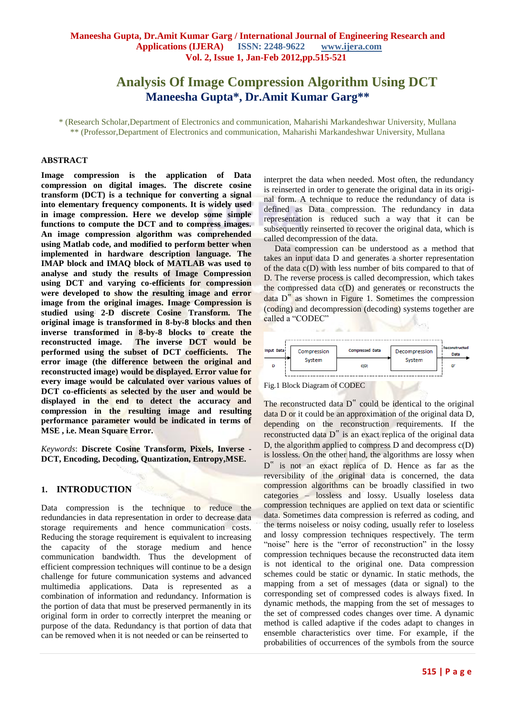# **Analysis Of Image Compression Algorithm Using DCT Maneesha Gupta\*, Dr.Amit Kumar Garg\*\***

\* (Research Scholar,Department of Electronics and communication, Maharishi Markandeshwar University, Mullana \*\* (Professor,Department of Electronics and communication, Maharishi Markandeshwar University, Mullana

#### **ABSTRACT**

**Image compression is the application of Data compression on digital images. The discrete cosine transform (DCT) is a technique for converting a signal into elementary frequency components. It is widely used in image compression. Here we develop some simple functions to compute the DCT and to compress images. An image compression algorithm was comprehended using Matlab code, and modified to perform better when implemented in hardware description language. The IMAP block and IMAQ block of MATLAB was used to analyse and study the results of Image Compression using DCT and varying co-efficients for compression were developed to show the resulting image and error image from the original images. Image Compression is studied using 2-D discrete Cosine Transform. The original image is transformed in 8-by-8 blocks and then inverse transformed in 8-by-8 blocks to create the reconstructed image. The inverse DCT would be performed using the subset of DCT coefficients. The error image (the difference between the original and reconstructed image) would be displayed. Error value for every image would be calculated over various values of DCT co-efficients as selected by the user and would be displayed in the end to detect the accuracy and compression in the resulting image and resulting performance parameter would be indicated in terms of MSE , i.e. Mean Square Error.**

*Keywords*: **Discrete Cosine Transform, Pixels, Inverse - DCT, Encoding, Decoding, Quantization, Entropy,MSE.**

#### **1. INTRODUCTION**

Data compression is the technique to reduce the redundancies in data representation in order to decrease data storage requirements and hence communication costs. Reducing the storage requirement is equivalent to increasing the capacity of the storage medium and hence communication bandwidth. Thus the development of efficient compression techniques will continue to be a design challenge for future communication systems and advanced multimedia applications. Data is represented as a combination of information and redundancy. Information is the portion of data that must be preserved permanently in its original form in order to correctly interpret the meaning or purpose of the data. Redundancy is that portion of data that can be removed when it is not needed or can be reinserted to

interpret the data when needed. Most often, the redundancy is reinserted in order to generate the original data in its original form. A technique to reduce the redundancy of data is defined as Data compression. The redundancy in data representation is reduced such a way that it can be subsequently reinserted to recover the original data, which is called decompression of the data.

 Data compression can be understood as a method that takes an input data D and generates a shorter representation of the data c(D) with less number of bits compared to that of D. The reverse process is called decompression, which takes the compressed data  $c(D)$  and generates or reconstructs the data D" as shown in Figure 1. Sometimes the compression (coding) and decompression (decoding) systems together are called a "CODEC"



Fig.1 Block Diagram of CODEC

The reconstructed data D<sup>"</sup> could be identical to the original data D or it could be an approximation of the original data D, depending on the reconstruction requirements. If the reconstructed data D" is an exact replica of the original data D, the algorithm applied to compress D and decompress c(D) is lossless. On the other hand, the algorithms are lossy when D<sup>"</sup> is not an exact replica of D. Hence as far as the reversibility of the original data is concerned, the data compression algorithms can be broadly classified in two categories – lossless and lossy. Usually loseless data compression techniques are applied on text data or scientific data. Sometimes data compression is referred as coding, and the terms noiseless or noisy coding, usually refer to loseless and lossy compression techniques respectively. The term "noise" here is the "error of reconstruction" in the lossy compression techniques because the reconstructed data item is not identical to the original one. Data compression schemes could be static or dynamic. In static methods, the mapping from a set of messages (data or signal) to the corresponding set of compressed codes is always fixed. In dynamic methods, the mapping from the set of messages to the set of compressed codes changes over time. A dynamic method is called adaptive if the codes adapt to changes in ensemble characteristics over time. For example, if the probabilities of occurrences of the symbols from the source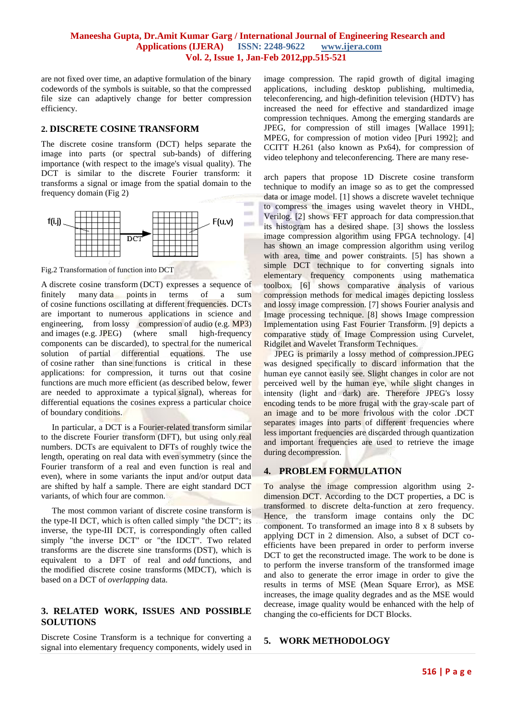min.

are not fixed over time, an adaptive formulation of the binary codewords of the symbols is suitable, so that the compressed file size can adaptively change for better compression efficiency.

#### **2. DISCRETE COSINE TRANSFORM**

The discrete cosine transform (DCT) helps separate the image into parts (or spectral sub-bands) of differing importance (with respect to the image's visual quality). The DCT is similar to the discrete Fourier transform: it transforms a signal or image from the spatial domain to the frequency domain (Fig 2)



Fig.2 Transformation of function into DCT

A discrete cosine transform (DCT) expresses a sequence of finitely many data points in terms of a sum of [cosine](http://en.wikipedia.org/wiki/Cosine) functions oscillating at different [frequencies.](http://en.wikipedia.org/wiki/Frequency) DCTs are important to numerous applications in science and engineering, from [lossy compression](http://en.wikipedia.org/wiki/Lossy_compression) of [audio](http://en.wikipedia.org/wiki/Audio_compression_(data)) (e.g. [MP3\)](http://en.wikipedia.org/wiki/MP3) and [images](http://en.wikipedia.org/wiki/Image_compression) (e.g. [JPEG\)](http://en.wikipedia.org/wiki/JPEG) (where small high-frequency components can be discarded), to spectral for the numerical solution of [partial differential equations.](http://en.wikipedia.org/wiki/Partial_differential_equations) The use of [cosine](http://en.wikipedia.org/wiki/Cosine) rather than [sine](http://en.wikipedia.org/wiki/Sine) functions is critical in these applications: for compression, it turns out that cosine functions are much more efficient (as described below, fewer are needed to approximate a typical [signal\)](http://en.wikipedia.org/wiki/Signal_(electrical_engineering)), whereas for differential equations the cosines express a particular choice of [boundary conditions.](http://en.wikipedia.org/wiki/Boundary_condition)

 In particular, a DCT is a [Fourier-related transform](http://en.wikipedia.org/wiki/List_of_Fourier-related_transforms) similar to the [discrete Fourier transform](http://en.wikipedia.org/wiki/Discrete_Fourier_transform) (DFT), but using only [real](http://en.wikipedia.org/wiki/Real_number)  [numbers.](http://en.wikipedia.org/wiki/Real_number) DCTs are equivalent to DFTs of roughly twice the length, operating on real data with [even](http://en.wikipedia.org/wiki/Even_and_odd_functions) symmetry (since the Fourier transform of a real and even function is real and even), where in some variants the input and/or output data are shifted by half a sample. There are eight standard DCT variants, of which four are common.

 The most common variant of discrete cosine transform is the type-II DCT, which is often called simply "the DCT"; its inverse, the type-III DCT, is correspondingly often called simply "the inverse DCT" or "the IDCT". Two related transforms are the [discrete sine](http://en.wikipedia.org/wiki/Discrete_sine_transform) transforms (DST), which is equivalent to a DFT of real and *odd* functions, and the [modified discrete cosine transforms](http://en.wikipedia.org/wiki/Modified_discrete_cosine_transform) (MDCT), which is based on a DCT of *overlapping* data.

# **3. RELATED WORK, ISSUES AND POSSIBLE SOLUTIONS**

Discrete Cosine Transform is a technique for converting a signal into elementary frequency components, widely used in

image compression. The rapid growth of digital imaging applications, including desktop publishing, multimedia, teleconferencing, and high-definition television (HDTV) has increased the need for effective and standardized image compression techniques. Among the emerging standards are JPEG, for compression of still images [Wallace 1991]; MPEG, for compression of motion video [Puri 1992]; and CCITT H.261 (also known as Px64), for compression of video telephony and teleconferencing. There are many rese-

arch papers that propose 1D Discrete cosine transform technique to modify an image so as to get the compressed data or image model. [1] shows a discrete wavelet technique to compress the images using wavelet theory in VHDL, Verilog. [2] shows FFT approach for data compression.that its histogram has a desired shape. [3] shows the lossless image compression algorithm using FPGA technology. [4] has shown an image compression algorithm using verilog with area, time and power constraints. [5] has shown a simple DCT technique to for converting signals into elementary frequency components using mathematica toolbox. [6] shows comparative analysis of various compression methods for medical images depicting lossless and lossy image compression. [7] shows Fourier analysis and Image processing technique. [8] shows Image compression Implementation using Fast Fourier Transform. [9] depicts a comparative study of Image Compression using Curvelet, Ridgilet and Wavelet Transform Techniques.

 JPEG is primarily a lossy method of compression.JPEG was designed specifically to discard information that the human eye cannot easily see. Slight changes in color are not perceived well by the human eye, while slight changes in intensity (light and dark) are. Therefore JPEG's lossy encoding tends to be more frugal with the gray-scale part of an image and to be more frivolous with the color .DCT separates images into parts of different frequencies where less important frequencies are discarded through quantization and important frequencies are used to retrieve the image during decompression.

# **4. PROBLEM FORMULATION**

To analyse the image compression algorithm using 2 dimension DCT. According to the DCT properties, a DC is transformed to discrete delta-function at zero frequency. Hence, the transform image contains only the DC component. To transformed an image into 8 x 8 subsets by applying DCT in 2 dimension. Also, a subset of DCT coefficients have been prepared in order to perform inverse DCT to get the reconstructed image. The work to be done is to perform the inverse transform of the transformed image and also to generate the error image in order to give the results in terms of MSE (Mean Square Error), as MSE increases, the image quality degrades and as the MSE would decrease, image quality would be enhanced with the help of changing the co-efficients for DCT Blocks.

# **5. WORK METHODOLOGY**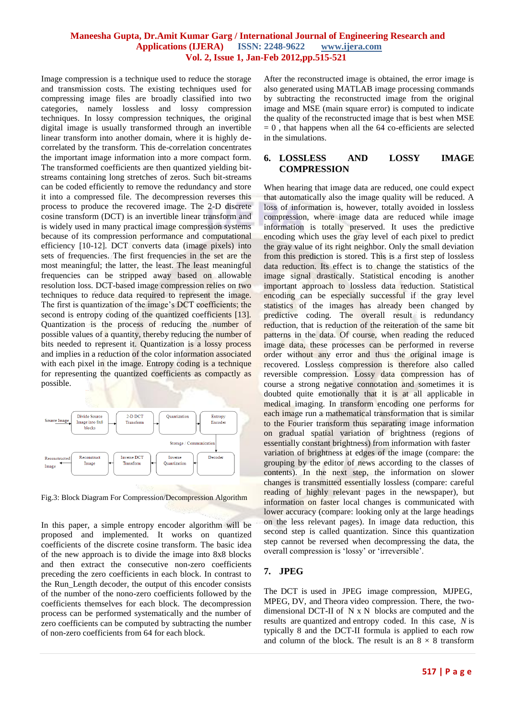Image compression is a technique used to reduce the storage and transmission costs. The existing techniques used for compressing image files are broadly classified into two categories, namely lossless and lossy compression techniques. In lossy compression techniques, the original digital image is usually transformed through an invertible linear transform into another domain, where it is highly decorrelated by the transform. This de-correlation concentrates the important image information into a more compact form. The transformed coefficients are then quantized yielding bitstreams containing long stretches of zeros. Such bit-streams can be coded efficiently to remove the redundancy and store it into a compressed file. The decompression reverses this process to produce the recovered image. The 2-D discrete cosine transform (DCT) is an invertible linear transform and is widely used in many practical image compression systems because of its compression performance and computational efficiency [10-12]. DCT converts data (image pixels) into sets of frequencies. The first frequencies in the set are the most meaningful; the latter, the least. The least meaningful frequencies can be stripped away based on allowable resolution loss. DCT-based image compression relies on two techniques to reduce data required to represent the image. The first is quantization of the image's DCT coefficients; the second is entropy coding of the quantized coefficients [13]. Quantization is the process of reducing the number of possible values of a quantity, thereby reducing the number of bits needed to represent it. Quantization is a lossy process and implies in a reduction of the color information associated with each pixel in the image. Entropy coding is a technique for representing the quantized coefficients as compactly as possible.



Fig.3: Block Diagram For Compression/Decompression Algorithm

In this paper, a simple entropy encoder algorithm will be proposed and implemented. It works on quantized coefficients of the discrete cosine transform. The basic idea of the new approach is to divide the image into 8x8 blocks and then extract the consecutive non-zero coefficients preceding the zero coefficients in each block. In contrast to the Run\_Length decoder, the output of this encoder consists of the number of the nono-zero coefficients followed by the coefficients themselves for each block. The decompression process can be performed systematically and the number of zero coefficients can be computed by subtracting the number of non-zero coefficients from 64 for each block.

After the reconstructed image is obtained, the error image is also generated using MATLAB image processing commands by subtracting the reconstructed image from the original image and MSE (main square error) is computed to indicate the quality of the reconstructed image that is best when MSE  $= 0$ , that happens when all the 64 co-efficients are selected in the simulations.

#### **6. LOSSLESS AND LOSSY IMAGE COMPRESSION**

When hearing that image data are reduced, one could expect that automatically also the image quality will be reduced. A loss of information is, however, totally avoided in lossless compression, where image data are reduced while image information is totally preserved. It uses the predictive encoding which uses the gray level of each pixel to predict the gray value of its right neighbor. Only the small deviation from this prediction is stored. This is a first step of lossless data reduction. Its effect is to change the statistics of the image signal drastically. Statistical encoding is another important approach to lossless data reduction. Statistical encoding can be especially successful if the gray level statistics of the images has already been changed by predictive coding. The overall result is redundancy reduction, that is reduction of the reiteration of the same bit patterns in the data. Of course, when reading the reduced image data, these processes can be performed in reverse order without any error and thus the original image is recovered. Lossless compression is therefore also called reversible compression. Lossy data compression has of course a strong negative connotation and sometimes it is doubted quite emotionally that it is at all applicable in medical imaging. In transform encoding one performs for each image run a mathematical transformation that is similar to the Fourier transform thus separating image information on gradual spatial variation of brightness (regions of essentially constant brightness) from information with faster variation of brightness at edges of the image (compare: the grouping by the editor of news according to the classes of contents). In the next step, the information on slower changes is transmitted essentially lossless (compare: careful reading of highly relevant pages in the newspaper), but information on faster local changes is communicated with lower accuracy (compare: looking only at the large headings on the less relevant pages). In image data reduction, this second step is called quantization. Since this quantization step cannot be reversed when decompressing the data, the overall compression is "lossy" or "irreversible".

# **7. JPEG**

The DCT is used in [JPEG](http://en.wikipedia.org/wiki/JPEG) image compression, [MJPEG,](http://en.wikipedia.org/wiki/MJPEG) [MPEG,](http://en.wikipedia.org/wiki/MPEG) [DV,](http://en.wikipedia.org/wiki/DV) and [Theora](http://en.wikipedia.org/wiki/Theora) [video compression.](http://en.wikipedia.org/wiki/Video_compression) There, the twodimensional DCT-II of N x N blocks are computed and the results are [quantized](http://en.wikipedia.org/wiki/Quantization_(signal_processing)) and [entropy coded.](http://en.wikipedia.org/wiki/Entropy_encoding) In this case, *N* is typically 8 and the DCT-II formula is applied to each row and column of the block. The result is an  $8 \times 8$  transform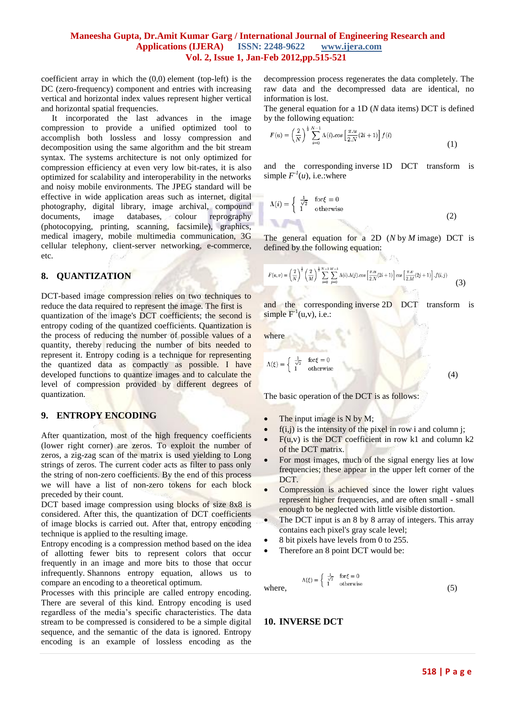coefficient array in which the (0,0) element (top-left) is the DC (zero-frequency) component and entries with increasing vertical and horizontal index values represent higher vertical and horizontal spatial frequencies.

 It incorporated the last advances in the image compression to provide a unified optimized tool to accomplish both lossless and lossy compression and decomposition using the same algorithm and the bit stream syntax. The systems architecture is not only optimized for compression efficiency at even very low bit-rates, it is also optimized for scalability and interoperability in the networks and noisy mobile environments. The JPEG standard will be effective in wide application areas such as internet, digital photography, digital library, image archival, compound documents, image databases, colour reprography (photocopying, printing, scanning, facsimile), graphics, medical imagery, mobile multimedia communication, 3G cellular telephony, client-server networking, e-commerce, etc.

#### **8. QUANTIZATION**

DCT-based image compression relies on two techniques to reduce the data required to represent the image. The first is quantization of the image's DCT coefficients; the second is entropy coding of the quantized coefficients. Quantization is the process of reducing the number of possible values of a quantity, thereby reducing the number of bits needed to represent it. Entropy coding is a technique for representing the quantized data as compactly as possible. I have developed functions to quantize images and to calculate the level of compression provided by different degrees of quantization.

# **9. ENTROPY ENCODING**

After quantization, most of the high frequency coefficients (lower right corner) are zeros. To exploit the number of zeros, a zig-zag scan of the matrix is used yielding to Long strings of zeros. The current coder acts as filter to pass only the string of non-zero coefficients. By the end of this process we will have a list of non-zero tokens for each block preceded by their count.

DCT based image compression using blocks of size 8x8 is considered. After this, the quantization of DCT coefficients of image blocks is carried out. After that, entropy encoding technique is applied to the resulting image.

Entropy encoding is a compression method based on the idea of allotting fewer bits to represent colors that occur frequently in an image and more bits to those that occur infrequently. Shannons entropy equation, allows us to compare an encoding to a theoretical optimum.

Processes with this principle are called entropy encoding. There are several of this kind. Entropy encoding is used regardless of the media"s specific characteristics. The data stream to be compressed is considered to be a simple digital sequence, and the semantic of the data is ignored. Entropy encoding is an example of lossless encoding as the decompression process regenerates the data completely. The raw data and the decompressed data are identical, no information is lost.

The general equation for a 1D (*N* data items) DCT is defined by the following equation:

$$
F(u) = \left(\frac{2}{N}\right)^{\frac{1}{2}} \sum_{i=0}^{N-1} \Lambda(i) \cdot \cos\left[\frac{\pi \cdot u}{2 \cdot N}(2i+1)\right] f(i)
$$
\n
$$
\tag{1}
$$

and the corresponding inverse 1D DCT transform is simple  $F^{\prime}(u)$ , i.e.:where

$$
\Lambda(i) = \begin{cases} \frac{1}{\sqrt{2}} & \text{for } \xi = 0\\ 1 & \text{otherwise} \end{cases}
$$
 (2)

The general equation for a 2D (*N* by *M* image) DCT is defined by the following equation:

$$
F(u,v) = \left(\frac{2}{N}\right)^{\frac{1}{2}} \left(\frac{2}{M}\right)^{\frac{1}{2}} \sum_{i=0}^{N-1} \sum_{j=0}^{M-1} \Lambda(i) \Lambda(j) \cos\left[\frac{\pi u}{2N}(2i+1)\right] \cos\left[\frac{\pi w}{2M}(2j+1)\right] f(i,j)
$$
(3)

and the corresponding inverse 2D DCT transform is simple  $F^{-1}(u,v)$ , i.e.:

where

$$
\Lambda(\xi) = \begin{cases} \frac{1}{\sqrt{2}} & \text{for } \xi = 0\\ 1 & \text{otherwise} \end{cases} \tag{4}
$$

The basic operation of the DCT is as follows:

- $\bullet$  The input image is N by M;
- $f(i,j)$  is the intensity of the pixel in row i and column j;
- $F(u, v)$  is the DCT coefficient in row k1 and column k2 of the DCT matrix.
- For most images, much of the signal energy lies at low frequencies; these appear in the upper left corner of the DCT.
- Compression is achieved since the lower right values represent higher frequencies, and are often small - small enough to be neglected with little visible distortion.
- The DCT input is an 8 by 8 array of integers. This array contains each pixel's gray scale level;
- 8 bit pixels have levels from 0 to 255.
- Therefore an 8 point DCT would be:

where,  $(5)$ 

#### **10. INVERSE DCT**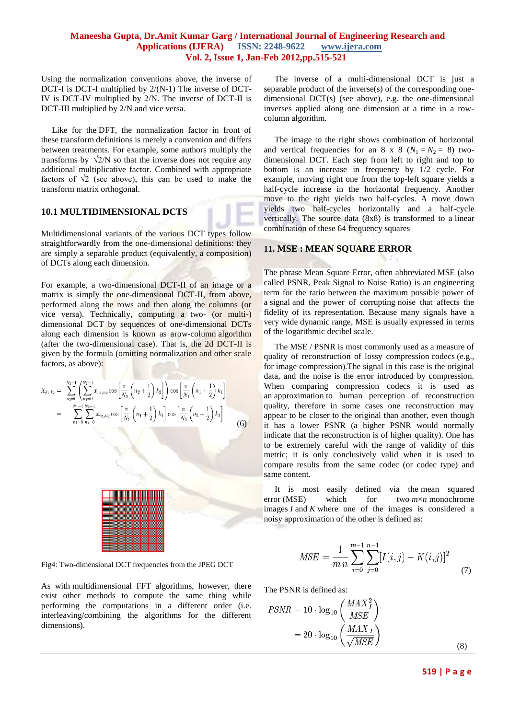Using the normalization conventions above, the inverse of DCT-I is DCT-I multiplied by 2/(N-1) The inverse of DCT-IV is DCT-IV multiplied by 2/N. The inverse of DCT-II is DCT-III multiplied by 2/N and vice versa.

 Like for the DFT, the normalization factor in front of these transform definitions is merely a convention and differs between treatments. For example, some authors multiply the transforms by  $\sqrt{2/N}$  so that the inverse does not require any additional multiplicative factor. Combined with appropriate factors of  $\sqrt{2}$  (see above), this can be used to make the transform matrix orthogonal.

#### **10.1 MULTIDIMENSIONAL DCTS**

Multidimensional variants of the various DCT types follow straightforwardly from the one-dimensional definitions: they are simply a separable product (equivalently, a composition) of DCTs along each dimension.

For example, a two-dimensional DCT-II of an image or a matrix is simply the one-dimensional DCT-II, from above, performed along the rows and then along the columns (or vice versa). Technically, computing a two- (or multi-) dimensional DCT by sequences of one-dimensional DCTs along each dimension is known as arow-column algorithm (after the two-dimensional case). That is, the 2d DCT-II is given by the formula (omitting normalization and other scale factors, as above):

$$
X_{k_1,k_2} = \sum_{n_1=0}^{N_1-1} \left( \sum_{n_2=0}^{N_2-1} x_{n_1,n_2} \cos\left[\frac{\pi}{N_2} \left(n_2 + \frac{1}{2}\right) k_2\right] \right) \cos\left[\frac{\pi}{N_1} \left(n_1 + \frac{1}{2}\right) k_1\right]
$$
  
= 
$$
\sum_{n_1=0}^{N_1-1} \sum_{n_2=0}^{N_2-1} x_{n_1,n_2} \cos\left[\frac{\pi}{N_1} \left(n_1 + \frac{1}{2}\right) k_1\right] \cos\left[\frac{\pi}{N_2} \left(n_2 + \frac{1}{2}\right) k_2\right].
$$
 (6)



Fig4: Two-dimensional DCT frequencies from the JPEG DCT

As with multidimensional FFT algorithms, however, there exist other methods to compute the same thing while performing the computations in a different order (i.e. interleaving/combining the algorithms for the different dimensions).

 The inverse of a multi-dimensional DCT is just a separable product of the inverse(s) of the corresponding onedimensional DCT(s) (see above), e.g. the one-dimensional inverses applied along one dimension at a time in a rowcolumn algorithm.

 The image to the right shows combination of horizontal and vertical frequencies for an 8 x 8 ( $N_1 = N_2 = 8$ ) twodimensional DCT. Each step from left to right and top to bottom is an increase in frequency by 1/2 cycle. For example, moving right one from the top-left square yields a half-cycle increase in the horizontal frequency. Another move to the right yields two half-cycles. A move down yields two half-cycles horizontally and a half-cycle vertically. The source data (8x8) is transformed to a linear combination of these 64 frequency squares

#### **11. MSE : MEAN SQUARE ERROR**

The phrase Mean Square Error, often abbreviated MSE (also called PSNR, Peak Signal to Noise Ratio) is an engineering term for the ratio between the maximum possible power of a [signal](http://en.wikipedia.org/wiki/Signal_(information_theory)) and the power of corrupting noise that affects the fidelity of its representation. Because many signals have a very wide [dynamic range,](http://en.wikipedia.org/wiki/Dynamic_range) MSE is usually expressed in terms of the [logarithmic](http://en.wikipedia.org/wiki/Logarithm) [decibel](http://en.wikipedia.org/wiki/Decibel) scale.

 The MSE / PSNR is most commonly used as a measure of quality of reconstruction of lossy compression [codecs](http://en.wikipedia.org/wiki/Codec) (e.g., for [image compression\)](http://en.wikipedia.org/wiki/Image_compression).The signal in this case is the original data, and the noise is the error introduced by compression. When comparing compression codecs it is used as an approximation to human perception of reconstruction quality, therefore in some cases one reconstruction may appear to be closer to the original than another, even though it has a lower PSNR (a higher PSNR would normally indicate that the reconstruction is of higher quality). One has to be extremely careful with the range of validity of this metric; it is only conclusively valid when it is used to compare results from the same codec (or codec type) and same content.

 It is most easily defined via the [mean squared](http://en.wikipedia.org/wiki/Mean_squared_error)  [error](http://en.wikipedia.org/wiki/Mean_squared_error) (MSE) which for two  $m \times n$  monochrome images *I* and *K* where one of the images is considered a noisy approximation of the other is defined as:

$$
MSE = \frac{1}{m n} \sum_{i=0}^{m-1} \sum_{j=0}^{n-1} [I(i,j) - K(i,j)]^2
$$
 (7)

The PSNR is defined as:

$$
PSNR = 10 \cdot \log_{10} \left( \frac{MAX_I^2}{MSE} \right)
$$

$$
= 20 \cdot \log_{10} \left( \frac{MAX_I}{\sqrt{MSE}} \right)
$$
(8)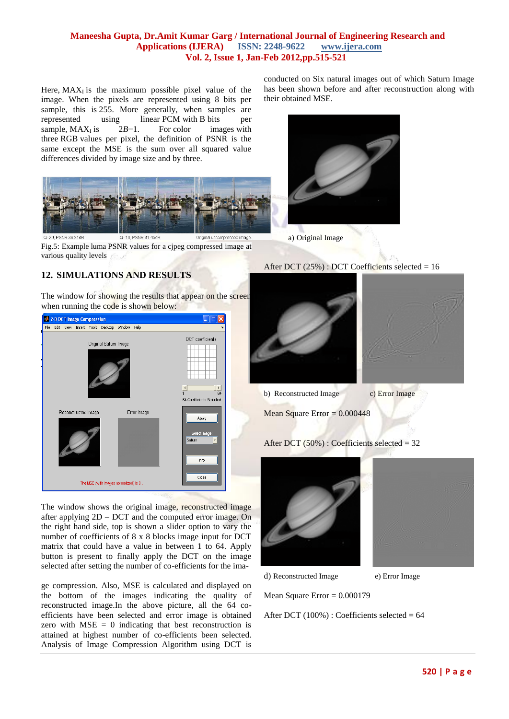Here,  $MAX_{I}$  is the maximum possible pixel value of the image. When the pixels are represented using 8 bits per sample, this is 255. More generally, when samples are represented using linear PCM with B bits per sample,  $MAX<sub>I</sub>$  is 2*B*−1. For color images with three RGB values per pixel, the definition of PSNR is the same except the MSE is the sum over all squared value differences divided by image size and by three.



Fig.5: Example luma PSNR values for a cjpeg compressed image at various quality levels

# **12. SIMULATIONS AND RESULTS**

The window for showing the results that appear on the screen when running the code is shown below:



The window shows the original image, reconstructed image after applying 2D – DCT and the computed error image. On the right hand side, top is shown a slider option to vary the number of coefficients of 8 x 8 blocks image input for DCT matrix that could have a value in between 1 to 64. Apply button is present to finally apply the DCT on the image selected after setting the number of co-efficients for the ima-

ge compression. Also, MSE is calculated and displayed on the bottom of the images indicating the quality of reconstructed image.In the above picture, all the 64 coefficients have been selected and error image is obtained zero with  $MSE = 0$  indicating that best reconstruction is attained at highest number of co-efficients been selected. Analysis of Image Compression Algorithm using DCT is conducted on Six natural images out of which Saturn Image has been shown before and after reconstruction along with their obtained MSE.









b) Reconstructed Image c) Error Image

Mean Square Error  $= 0.000448$ 

After DCT (50%) : Coefficients selected = 32



d) Reconstructed Image e) Error Image

Mean Square Error  $= 0.000179$ 

After DCT  $(100\%)$ : Coefficients selected = 64



After DCT  $(25%)$ : DCT Coefficients selected = 16